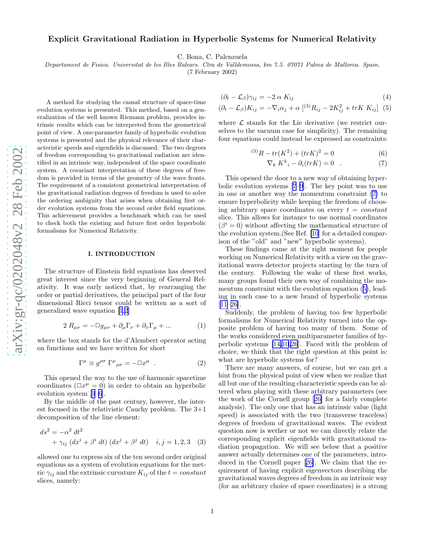# <span id="page-0-0"></span>Explicit Gravitational Radiation in Hyperbolic Systems for Numerical Relativity

C. Bona, C. Palenzuela

*Departament de Fisica. Universitat de les Illes Balears. Ctra de Valldemossa, km 7.5. 07071 Palma de Mallorca. Spain.*

(7 February 2002)

A method for studying the causal structure of space-time evolution systems is presented. This method, based on a generalization of the well known Riemann problem, provides intrinsic results which can be interpreted from the geometrical point of view. A one-parameter family of hyperbolic evolution systems is presented and the physical relevance of their characteristic speeds and eigenfields is discussed. The two degrees of freedom corresponding to gravitational radiation are identified in an intrinsic way, independent of the space coordinate system. A covariant interpretation of these degrees of freedom is provided in terms of the geometry of the wave fronts. The requirement of a consistent geometrical interpretation of the gravitational radiation degrees of freedom is used to solve the ordering ambiguity that arises when obtaining first order evolution systems from the second order field equations. This achievement provides a benchmark which can be used to check both the existing and future first order hyperbolic formalisms for Numerical Relativity.

#### I. INTRODUCTION

The structure of Einstein field equations has deserved great interest since the very beginning of General Relativity. It was early noticed that, by rearranging the order or partial derivatives, the principal part of the four dimensional Ricci tensor could be written as a sort of generalized wave equation [\[1,2](#page-4-0)]

$$
2 R_{\mu\nu} = -\Box g_{\mu\nu} + \partial_{\mu} \Gamma_{\nu} + \partial_{\nu} \Gamma_{\mu} + \dots \tag{1}
$$

where the box stands for the d'Alembert operator acting on functions and we have written for short

$$
\Gamma^{\mu} \equiv g^{\rho\sigma} \Gamma^{\mu}{}_{\rho\sigma} = -\Box x^{\mu} . \tag{2}
$$

This opened the way to the use of harmonic spacetime coordinates  $(\Box x^{\mu} = 0)$  in order to obtain an hyperbolic evolution system[[3](#page-4-0)–[6\]](#page-4-0).

By the middle of the past century, however, the interest focused in the relativistic Cauchy problem. The 3+1 decomposition of the line element:

$$
ds^{2} = -\alpha^{2} dt^{2}
$$
  
+  $\gamma_{ij} (dx^{i} + \beta^{i} dt) (dx^{j} + \beta^{j} dt) i, j = 1, 2, 3$  (3)

allowed one to express six of the ten second order original equations as a system of evolution equations for the metric  $\gamma_{ij}$  and the extrinsic curvature  $K_{ij}$  of the  $t = constant$ slices, namely:

$$
(\partial_t - \mathcal{L}_\beta)\gamma_{ij} = -2 \alpha K_{ij} \tag{4}
$$

$$
(\partial_t - \mathcal{L}_{\beta})K_{ij} = -\nabla_i \alpha_j + \alpha \left[ {}^{(3)}R_{ij} - 2K_{ij}^2 + trK K_{ij} \right] \tag{5}
$$

where  $\mathcal L$  stands for the Lie derivative (we restrict ourselves to the vacuum case for simplicity). The remaining four equations could instead be expressed as constraints:

$$
^{(3)}R - tr(K2) + (trK)2 = 0
$$
 (6)

$$
\nabla_k K^k_i - \partial_i (trK) = 0 \quad . \tag{7}
$$

This opened the door to a new way of obtaining hyperbolic evolution systems[[7–9\]](#page-4-0). The key point was to use in one or another way the momentum constraint (7) to ensure hyperbolicity while keeping the freedom of choosing arbitrary space coordinates on every  $t = constant$ slice. This allows for instance to use normal coordinates  $(\beta^{i} = 0)$  without affecting the mathematical structure of the evolution system.(See Ref. [\[10](#page-4-0)] for a detailed comparison of the "old" and "new" hyperbolic systems).

These findings came at the right moment for people working on Numerical Relativity with a view on the gravitational waves detector projects starting by the turn of the century. Following the wake of these first works, many groups found their own way of combining the momentum constraint with the evolution equation (5), leading in each case to a new brand of hyperbolic systems [[11–26\]](#page-4-0).

Suddenly, the problem of having too few hyperbolic formalisms for Numerical Relativity turned into the opposite problem of having too many of them. Some of the works considered even multiparameter families of hyperbolic systems [\[14,10,26](#page-4-0)]. Faced with the problem of choice, we think that the right question at this point is: what are hyperbolic systems for?

There are many answers, of course, but we can get a hint from the physical point of view when we realize that all but one of the resulting characteristic speeds can be altered when playing with these arbitrary parameters (see the work of the Cornell group[[26\]](#page-4-0) for a fairly complete analysis). The only one that has an intrinsic value (light speed) is associated with the two (transverse traceless) degrees of freedom of gravitational waves. The evident question now is wether or not we can directly relate the corresponding explicit eigenfields with gravitational radiation propagation. We will see below that a positive answer actually determines one of the parameters, introduced in the Cornell paper[[26\]](#page-4-0). We claim that the requirement of having explicit eigenvectors describing the gravitational waves degrees of freedom in an intrinsic way (for an arbitrary choice of space coordinates) is a strong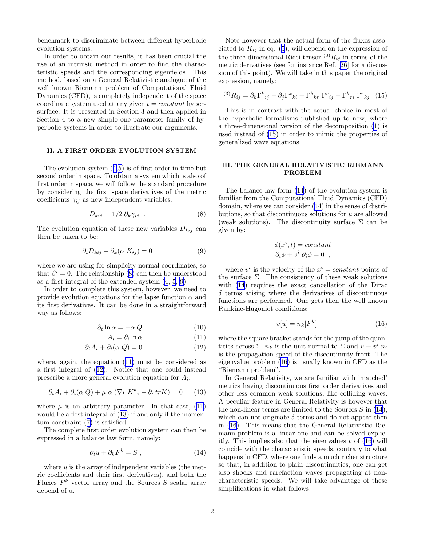<span id="page-1-0"></span>benchmark to discriminate between different hyperbolic evolution systems.

In order to obtain our results, it has been crucial the use of an intrinsic method in order to find the characteristic speeds and the corresponding eigenfields. This method, based on a General Relativistic analogue of the well known Riemann problem of Computational Fluid Dynamics (CFD), is completely independent of the space coordinate system used at any given  $t = constant$  hypersurface. It is presented in Section 3 and then applied in Section 4 to a new simple one-parameter family of hyperbolic systems in order to illustrate our arguments.

#### II. A FIRST ORDER EVOLUTION SYSTEM

The evolution system([4,5\)](#page-0-0) is of first order in time but second order in space. To obtain a system which is also of first order in space, we will follow the standard procedure by considering the first space derivatives of the metric coefficients  $\gamma_{ij}$  as new independent variables:

$$
D_{kij} = 1/2 \partial_k \gamma_{ij} \quad . \tag{8}
$$

The evolution equation of these new variables  $D_{kij}$  can then be taken to be:

$$
\partial_t D_{kij} + \partial_k (\alpha K_{ij}) = 0 \tag{9}
$$

where we are using for simplicity normal coordinates, so that  $\beta^i = 0$ . The relationship (8) can then be understood as a first integral of the extended system [\(4](#page-0-0), [5](#page-0-0), 9).

In order to complete this system, however, we need to provide evolution equations for the lapse function  $\alpha$  and its first derivatives. It can be done in a straightforward way as follows:

$$
\partial_t \ln \alpha = -\alpha \ Q \tag{10}
$$

$$
A_i = \partial_i \ln \alpha \tag{11}
$$

$$
\partial_t A_i + \partial_i(\alpha \ Q) = 0 \tag{12}
$$

where, again, the equation (11) must be considered as a first integral of (12). Notice that one could instead prescribe a more general evolution equation for  $A_i$ :

$$
\partial_t A_i + \partial_i(\alpha \ Q) + \mu \alpha \ (\nabla_k \ K^k{}_i - \partial_i \ tr K) = 0 \qquad (13)
$$

where  $\mu$  is an arbitrary parameter. In that case, (11) would be a first integral of (13) if and only if the momentum constraint([7\)](#page-0-0) is satisfied.

The complete first order evolution system can then be expressed in a balance law form, namely:

$$
\partial_t u + \partial_k F^k = S \,, \tag{14}
$$

where  $u$  is the array of independent variables (the metric coefficients and their first derivatives), and both the Fluxes  $F<sup>k</sup>$  vector array and the Sources S scalar array depend of u.

Note however that the actual form of the fluxes associated to  $K_{ij}$  in eq. [\(5](#page-0-0)), will depend on the expression of the three-dimensional Ricci tensor  $^{(3)}R_{ij}$  in terms of the metric derivatives (see for instance Ref.[[26\]](#page-4-0) for a discussion of this point). We will take in this paper the original expression, namely:

$$
^{(3)}R_{ij} = \partial_k \Gamma^k{}_{ij} - \partial_j \Gamma^k{}_{ki} + \Gamma^k{}_{kr} \Gamma^r{}_{ij} - \Gamma^k{}_{ri} \Gamma^r{}_{kj} \quad (15)
$$

This is in contrast with the actual choice in most of the hyperbolic formalisms published up to now, where a three-dimensional version of the decomposition [\(1](#page-0-0)) is used instead of (15) in order to mimic the properties of generalized wave equations.

#### III. THE GENERAL RELATIVISTIC RIEMANN PROBLEM

The balance law form (14) of the evolution system is familiar from the Computational Fluid Dynamics (CFD) domain, where we can consider (14) in the sense of distributions, so that discontinuous solutions for u are allowed (weak solutions). The discontinuity surface  $\Sigma$  can be given by:

$$
\phi(x^i, t) = constant
$$
  

$$
\partial_t \phi + v^i \partial_i \phi = 0 ,
$$

where  $v^i$  is the velocity of the  $x^i = constant$  points of the surface  $\Sigma$ . The consistency of these weak solutions with (14) requires the exact cancellation of the Dirac  $\delta$  terms arising where the derivatives of discontinuous functions are performed. One gets then the well known Rankine-Hugoniot conditions:

$$
v[u] = n_k[F^k] \tag{16}
$$

where the square bracket stands for the jump of the quantities across  $\Sigma$ ,  $n_k$  is the unit normal to  $\Sigma$  and  $v \equiv v^i n_i$ is the propagation speed of the discontinuity front. The eigenvalue problem (16) is usually known in CFD as the "Riemann problem".

In General Relativity, we are familiar with 'matched' metrics having discontinuous first order derivatives and other less common weak solutions, like colliding waves. A peculiar feature in General Relativity is however that the non-linear terms are limited to the Sources  $S$  in (14), which can not originate  $\delta$  terms and do not appear then in (16). This means that the General Relativistic Riemann problem is a linear one and can be solved explicitly. This implies also that the eigenvalues  $v$  of (16) will coincide with the characteristic speeds, contrary to what happens in CFD, where one finds a much richer structure so that, in addition to plain discontinuities, one can get also shocks and rarefaction waves propagating at noncharacteristic speeds. We will take advantage of these simplifications in what follows.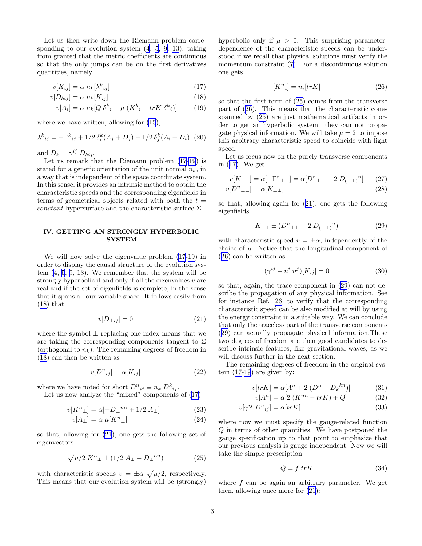<span id="page-2-0"></span>Let us then write down the Riemann problem corresponding to our evolution system  $(4, 5, 9, 13)$  $(4, 5, 9, 13)$  $(4, 5, 9, 13)$  $(4, 5, 9, 13)$  $(4, 5, 9, 13)$ , taking from granted that the metric coefficients are continuous so that the only jumps can be on the first derivatives quantities, namely

$$
v[K_{ij}] = \alpha \ n_k[\lambda^k{}_{ij}] \tag{17}
$$

$$
v[D_{kij}] = \alpha n_k[K_{ij}] \tag{18}
$$

$$
v[A_i] = \alpha n_k [Q \delta^k{}_i + \mu (K^k{}_i - trK \delta^k{}_i)] \tag{19}
$$

where we have written, allowing for [\(15](#page-1-0)),

$$
\lambda^{k}_{ij} = -\Gamma^{k}_{ij} + 1/2 \delta^{k}_{i} (A_{j} + D_{j}) + 1/2 \delta^{k}_{j} (A_{i} + D_{i})
$$
 (20)

and  $D_k = \gamma^{ij} D_{kij}$ .

Let us remark that the Riemann problem (17-19) is stated for a generic orientation of the unit normal  $n_k$ , in a way that is independent of the space coordinate system. In this sense, it provides an intrinsic method to obtain the characteristic speeds and the corresponding eigenfields in terms of geometrical objects related with both the  $t =$ constant hypersurface and the characteristic surface  $\Sigma$ .

## IV. GETTING AN STRONGLY HYPERBOLIC **SYSTEM**

We will now solve the eigenvalue problem (17-19) in order to display the causal structure of the evolution system [\(4](#page-0-0), [5](#page-0-0), [9, 13\)](#page-1-0). We remember that the system will be strongly hyperbolic if and only if all the eigenvalues  $v$  are real and if the set of eigenfields is complete, in the sense that it spans all our variable space. It follows easily from  $(18)$  that

$$
v[D_{\perp ij}] = 0 \tag{21}
$$

where the symbol ⊥ replacing one index means that we are taking the corresponding components tangent to  $\Sigma$ (orthogonal to  $n_k$ ). The remaining degrees of freedom in (18) can then be written as

$$
v[D^n{}_{ij}] = \alpha[K_{ij}] \tag{22}
$$

where we have noted for short  $D_{ij}^n \equiv n_k D_{ij}^k$ .

Let us now analyze the "mixed" components of (17)

$$
v[K^{n}_{\perp}] = \alpha [-D_{\perp}^{nn} + 1/2 A_{\perp}] \tag{23}
$$

$$
v[A_\perp] = \alpha \ \mu[K^n_\perp] \tag{24}
$$

so that, allowing for (21), one gets the following set of eigenvectors

$$
\sqrt{\mu/2} K^n{}_{\perp} \pm (1/2 A_{\perp} - D_{\perp}{}^{nn}) \tag{25}
$$

with characteristic speeds  $v = \pm \alpha \sqrt{\mu/2}$ , respectively. This means that our evolution system will be (strongly) hyperbolic only if  $\mu > 0$ . This surprising parameterdependence of the characteristic speeds can be understood if we recall that physical solutions must verify the momentum constraint([7\)](#page-0-0). For a discontinuous solution one gets

$$
[K^n{}_i] = n_i[trK]
$$
\n(26)

so that the first term of (25) comes from the transverse part of (26). This means that the characteristic cones spanned by (25) are just mathematical artifacts in order to get an hyperbolic system: they can not propagate physical information. We will take  $\mu = 2$  to impose this arbitrary characteristic speed to coincide with light speed.

Let us focus now on the purely transverse components in (17). We get

$$
v[K_{\perp\perp}] = \alpha[-\Gamma^n{}_{\perp\perp}] = \alpha[D^n{}_{\perp\perp} - 2 D_{(\perp\perp)}{}^n]
$$
 (27)

$$
v[D^n{}_{\perp\perp}] = \alpha[K_{\perp\perp}] \tag{28}
$$

so that, allowing again for (21), one gets the following eigenfields

$$
K_{\perp\perp} \pm (D^n{}_{\perp\perp} - 2 D_{(\perp\perp)}{}^n) \tag{29}
$$

with characteristic speed  $v = \pm \alpha$ , independently of the choice of  $\mu$ . Notice that the longitudinal component of (26) can be written as

$$
(\gamma^{ij} - n^i n^j)[K_{ij}] = 0 \tag{30}
$$

so that, again, the trace component in (29) can not describe the propagation of any physical information. See for instance Ref. [\[26](#page-4-0)] to verify that the corresponding characteristic speed can be also modified at will by using the energy constraint in a suitable way. We can conclude that only the traceless part of the transverse components (29) can actually propagate physical information.These two degrees of freedom are then good candidates to describe intrinsic features, like gravitational waves, as we will discuss further in the next section.

The remaining degrees of freedom in the original system (17-19) are given by:

$$
v[trK] = \alpha[A^n + 2(D^n - D_k^{kn})]
$$
 (31)

$$
v[A^n] = \alpha [2 \left( K^{nn} - trK \right) + Q] \tag{32}
$$

$$
v[\gamma^{ij} D^n{}_{ij}] = \alpha[trK]
$$
\n(33)

where now we must specify the gauge-related function Q in terms of other quantities. We have postponed the gauge specification up to that point to emphasize that our previous analysis is gauge independent. Now we will take the simple prescription

$$
Q = f \ trK \tag{34}
$$

where  $f$  can be again an arbitrary parameter. We get then, allowing once more for (21):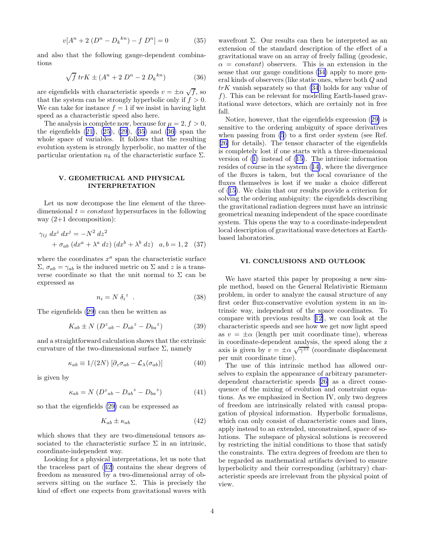$$
v[A^{n} + 2 (D^{n} - D_{k}^{kn}) - f D^{n}] = 0
$$
 (35)

and also that the following gauge-dependent combinations

$$
\sqrt{f} \, trK \pm (A^n + 2 \, D^n - 2 \, D_k^{\, kn}) \tag{36}
$$

are eigenfields with characteristic speeds  $v = \pm \alpha \sqrt{f}$ , so that the system can be strongly hyperbolic only if  $f > 0$ . We can take for instance  $f = 1$  if we insist in having light speed as a characteristic speed also here.

The analysis is complete now, because for  $\mu = 2, f > 0$ , theeigenfields  $(21)$  $(21)$ ,  $(25)$  $(25)$ ,  $(29)$  $(29)$  $(29)$ ,  $(35)$  and  $(36)$  span the whole space of variables. It follows that the resulting evolution system is strongly hyperbolic, no matter of the particular orientation  $n_k$  of the characteristic surface  $\Sigma$ .

## V. GEOMETRICAL AND PHYSICAL INTERPRETATION

Let us now decompose the line element of the threedimensional  $t = constant$  hypersurfaces in the following way  $(2+1$  decomposition):

$$
\gamma_{ij} dx^{i} dx^{j} = -N^{2} dz^{2}
$$
  
+  $\sigma_{ab} (dx^{a} + \lambda^{a} dz) (dx^{b} + \lambda^{b} dz) a, b = 1, 2$  (37)

where the coordinates  $x^a$  span the characteristic surface  $\Sigma$ ,  $\sigma_{ab} = \gamma_{ab}$  is the induced metric on  $\Sigma$  and z is a transverse coordinate so that the unit normal to  $\Sigma$  can be expressed as

$$
n_i = N \delta_i^z \t\t(38)
$$

The eigenfields [\(29](#page-2-0)) can then be written as

$$
K_{ab} \pm N (D^z_{ab} - D_{ab}{}^z - D_{ba}{}^z)
$$
 (39)

and a straightforward calculation shows that the extrinsic curvature of the two-dimensional surface  $\Sigma$ , namely

$$
\kappa_{ab} \equiv 1/(2N) \left[ \partial_z \sigma_{ab} - \mathcal{L}_{\lambda}(\sigma_{ab}) \right] \tag{40}
$$

is given by

$$
\kappa_{ab} = N (D^z_{ab} - D_{ab}{}^z - D_{ba}{}^z)
$$
 (41)

so that the eigenfields [\(29\)](#page-2-0) can be expressed as

$$
K_{ab} \pm \kappa_{ab} \tag{42}
$$

which shows that they are two-dimensional tensors associated to the characteristic surface  $\Sigma$  in an intrinsic, coordinate-independent way.

Looking for a physical interpretations, let us note that the traceless part of (42) contains the shear degrees of freedom as measured by a two-dimensional array of observers sitting on the surface  $\Sigma$ . This is precisely the kind of effect one expects from gravitational waves with

wavefront  $\Sigma$ . Our results can then be interpreted as an extension of the standard description of the effect of a gravitational wave on an array of freely falling (geodesic,  $\alpha = constant$ ) observers. This is an extension in the sense that our gauge conditions([34\)](#page-2-0) apply to more general kinds of observers (like static ones, where both Q and  $trK$  vanish separately so that  $(34)$  holds for any value of f). This can be relevant for modelling Earth-based gravitational wave detectors, which are certainly not in free fall.

Notice, however, that the eigenfields expression([29\)](#page-2-0) is sensitive to the ordering ambiguity of space derivatives when passing from [\(5](#page-0-0)) to a first order system (see Ref. [[26\]](#page-4-0) for details). The tensor character of the eigenfields is completely lost if one starts with a three-dimensional version of([1\)](#page-0-0) instead of([15\)](#page-1-0). The intrinsic information resides of course in the system([14\)](#page-1-0), where the divergence of the fluxes is taken, but the local covariance of the fluxes themselves is lost if we make a choice different of [\(15](#page-1-0)). We claim that our results provide a criterion for solving the ordering ambiguity: the eigenfields describing the gravitational radiation degrees must have an intrinsic geometrical meaning independent of the space coordinate system. This opens the way to a coordinate-independent local description of gravitational wave detectors at Earthbased laboratories.

## VI. CONCLUSIONS AND OUTLOOK

We have started this paper by proposing a new simple method, based on the General Relativistic Riemann problem, in order to analyze the causal structure of any first order flux-conservative evolution system in an intrinsic way, independent of the space coordinates. To compare with previous results[[12\]](#page-4-0), we can look at the characteristic speeds and see how we get now light speed as  $v = \pm \alpha$  (length per unit coordinate time), whereas in coordinate-dependent analysis, the speed along the z axis is given by  $v = \pm \alpha \sqrt{\gamma^{zz}}$  (coordinate displacement per unit coordinate time).

The use of this intrinsic method has allowed ourselves to explain the appearance of arbitrary parameterdependent characteristic speeds[[26\]](#page-4-0) as a direct consequence of the mixing of evolution and constraint equations. As we emphasized in Section IV, only two degrees of freedom are intrinsically related with causal propagation of physical information. Hyperbolic formalisms, which can only consist of characteristic cones and lines, apply instead to an extended, unconstrained, space of solutions. The subspace of physical solutions is recovered by restricting the initial conditions to those that satisfy the constraints. The extra degrees of freedom are then to be regarded as mathematical artifacts devised to ensure hyperbolicity and their corresponding (arbitrary) characteristic speeds are irrelevant from the physical point of view.